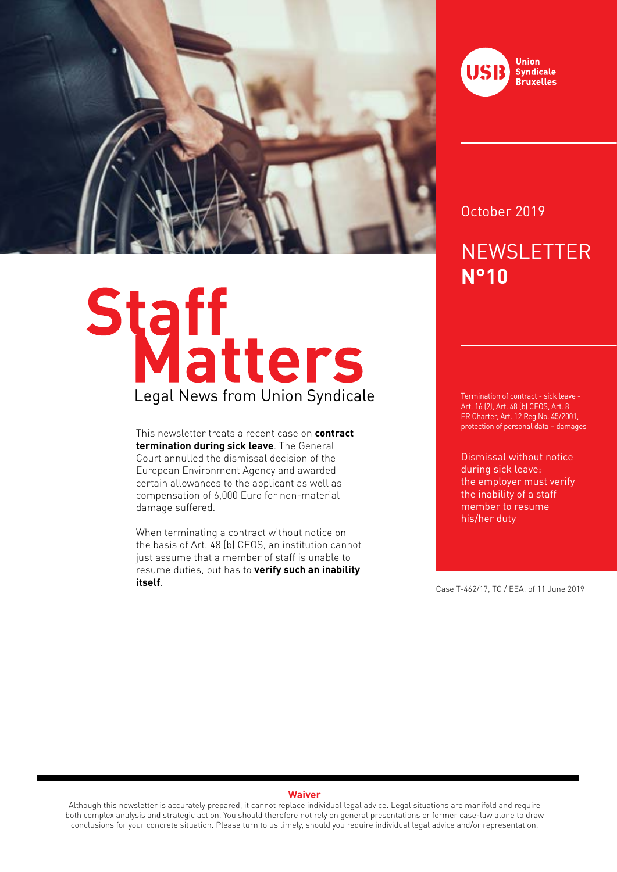

# Staff<br>Legal News from Union Syndicale

This newsletter treats a recent case on **contract termination during sick leave**. The General Court annulled the dismissal decision of the European Environment Agency and awarded certain allowances to the applicant as well as compensation of 6,000 Euro for non-material damage suffered.

When terminating a contract without notice on the basis of Art. 48 (b) CEOS, an institution cannot just assume that a member of staff is unable to resume duties, but has to **verify such an inability itself**. Case T-462/17, TO / EEA, of 11 June 2019



## October 2019

# **NEWSLETTER N°10**

Termination of contract - sick leave - Art. 16 (2), Art. 48 (b) CEOS, Art. 8 FR Charter, Art. 12 Reg No. 45/2001, protection of personal data – damages

Dismissal without notice during sick leave: the employer must verify the inability of a staff member to resume his/her duty

### **Waiver**

Although this newsletter is accurately prepared, it cannot replace individual legal advice. Legal situations are manifold and require both complex analysis and strategic action. You should therefore not rely on general presentations or former case-law alone to draw conclusions for your concrete situation. Please turn to us timely, should you require individual legal advice and/or representation.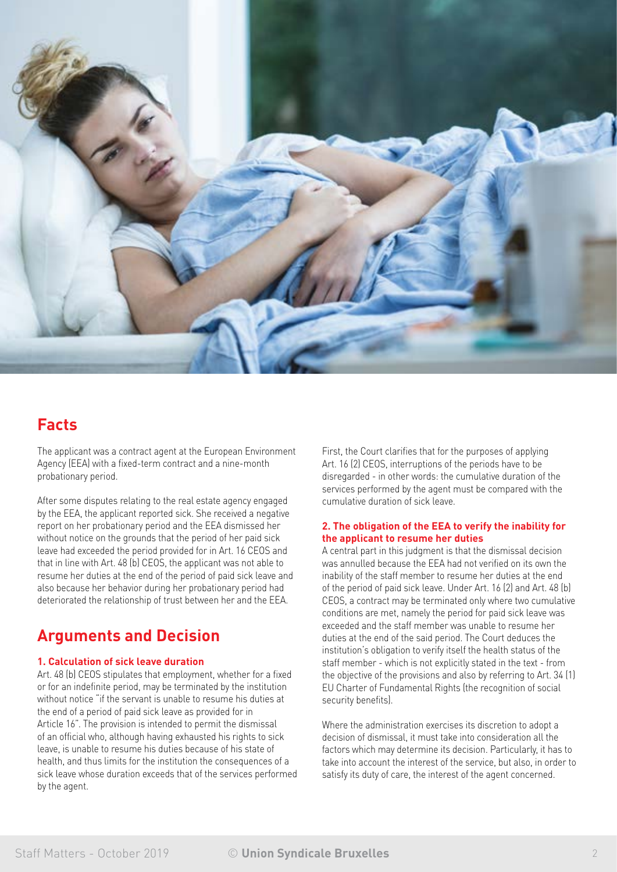

# **Facts**

The applicant was a contract agent at the European Environment Agency (EEA) with a fixed-term contract and a nine-month probationary period.

After some disputes relating to the real estate agency engaged by the EEA, the applicant reported sick. She received a negative report on her probationary period and the EEA dismissed her without notice on the grounds that the period of her paid sick leave had exceeded the period provided for in Art. 16 CEOS and that in line with Art. 48 (b) CEOS, the applicant was not able to resume her duties at the end of the period of paid sick leave and also because her behavior during her probationary period had deteriorated the relationship of trust between her and the EEA.

# **Arguments and Decision**

### **1. Calculation of sick leave duration**

Art. 48 (b) CEOS stipulates that employment, whether for a fixed or for an indefinite period, may be terminated by the institution without notice "if the servant is unable to resume his duties at the end of a period of paid sick leave as provided for in Article 16". The provision is intended to permit the dismissal of an official who, although having exhausted his rights to sick leave, is unable to resume his duties because of his state of health, and thus limits for the institution the consequences of a sick leave whose duration exceeds that of the services performed by the agent.

First, the Court clarifies that for the purposes of applying Art. 16 (2) CEOS, interruptions of the periods have to be disregarded - in other words: the cumulative duration of the services performed by the agent must be compared with the cumulative duration of sick leave.

### **2. The obligation of the EEA to verify the inability for the applicant to resume her duties**

A central part in this judgment is that the dismissal decision was annulled because the EEA had not verified on its own the inability of the staff member to resume her duties at the end of the period of paid sick leave. Under Art. 16 (2) and Art. 48 (b) CEOS, a contract may be terminated only where two cumulative conditions are met, namely the period for paid sick leave was exceeded and the staff member was unable to resume her duties at the end of the said period. The Court deduces the institution's obligation to verify itself the health status of the staff member - which is not explicitly stated in the text - from the objective of the provisions and also by referring to Art. 34 (1) EU Charter of Fundamental Rights (the recognition of social security benefits).

Where the administration exercises its discretion to adopt a decision of dismissal, it must take into consideration all the factors which may determine its decision. Particularly, it has to take into account the interest of the service, but also, in order to satisfy its duty of care, the interest of the agent concerned.